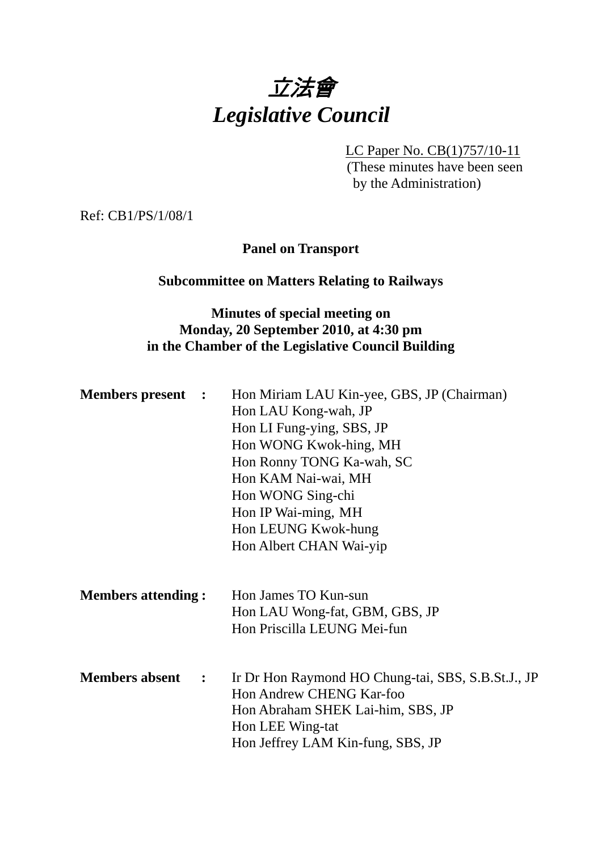

LC Paper No. CB(1)757/10-11 (These minutes have been seen by the Administration)

Ref: CB1/PS/1/08/1

## **Panel on Transport**

### **Subcommittee on Matters Relating to Railways**

## **Minutes of special meeting on Monday, 20 September 2010, at 4:30 pm in the Chamber of the Legislative Council Building**

| <b>Members present :</b>              | Hon Miriam LAU Kin-yee, GBS, JP (Chairman)         |
|---------------------------------------|----------------------------------------------------|
|                                       | Hon LAU Kong-wah, JP                               |
|                                       | Hon LI Fung-ying, SBS, JP                          |
|                                       | Hon WONG Kwok-hing, MH                             |
|                                       | Hon Ronny TONG Ka-wah, SC                          |
|                                       | Hon KAM Nai-wai, MH                                |
|                                       | Hon WONG Sing-chi                                  |
|                                       | Hon IP Wai-ming, MH                                |
|                                       | Hon LEUNG Kwok-hung                                |
|                                       | Hon Albert CHAN Wai-yip                            |
|                                       |                                                    |
| <b>Members attending:</b>             | Hon James TO Kun-sun                               |
|                                       | Hon LAU Wong-fat, GBM, GBS, JP                     |
|                                       | Hon Priscilla LEUNG Mei-fun                        |
|                                       |                                                    |
| <b>Members absent</b><br>$\mathbf{L}$ | Ir Dr Hon Raymond HO Chung-tai, SBS, S.B.St.J., JP |
|                                       | Hon Andrew CHENG Kar-foo                           |
|                                       | Hon Abraham SHEK Lai-him, SBS, JP                  |
|                                       | Hon LEE Wing-tat                                   |
|                                       | Hon Jeffrey LAM Kin-fung, SBS, JP                  |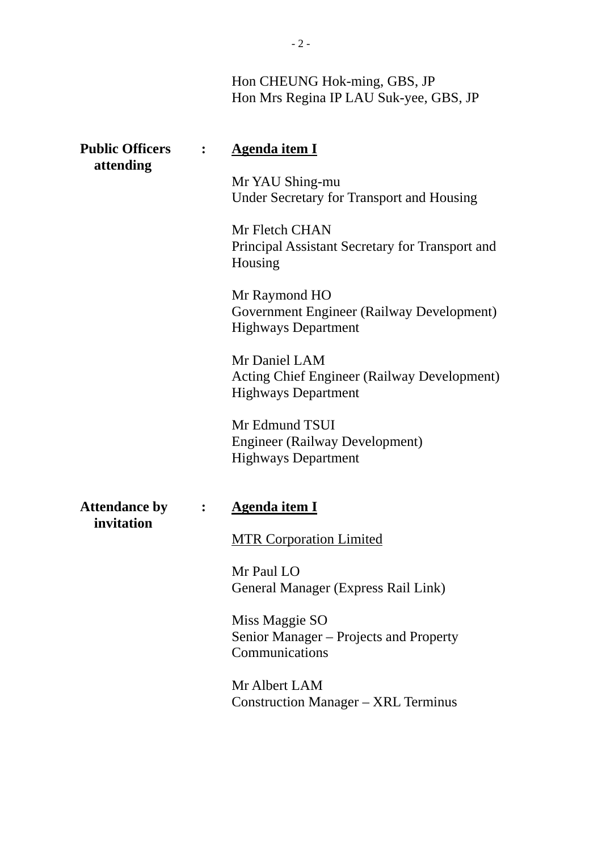# Hon CHEUNG Hok-ming, GBS, JP Hon Mrs Regina IP LAU Suk-yee, GBS, JP

| <b>Public Officers</b><br>attending |                      | <b>Agenda item I</b>                                                                              |
|-------------------------------------|----------------------|---------------------------------------------------------------------------------------------------|
|                                     |                      | Mr YAU Shing-mu<br><b>Under Secretary for Transport and Housing</b>                               |
|                                     |                      | Mr Fletch CHAN<br>Principal Assistant Secretary for Transport and<br>Housing                      |
|                                     |                      | Mr Raymond HO<br>Government Engineer (Railway Development)<br><b>Highways Department</b>          |
|                                     |                      | Mr Daniel LAM<br><b>Acting Chief Engineer (Railway Development)</b><br><b>Highways Department</b> |
|                                     |                      | Mr Edmund TSUI<br><b>Engineer (Railway Development)</b><br><b>Highways Department</b>             |
| <b>Attendance by</b><br>invitation  | $\ddot{\phantom{1}}$ | <b>Agenda item I</b>                                                                              |
|                                     |                      | <b>MTR Corporation Limited</b>                                                                    |
|                                     |                      | Mr Paul LO<br>General Manager (Express Rail Link)                                                 |
|                                     |                      | Miss Maggie SO<br>Senior Manager - Projects and Property<br>Communications                        |
|                                     |                      | Mr Albert LAM<br><b>Construction Manager – XRL Terminus</b>                                       |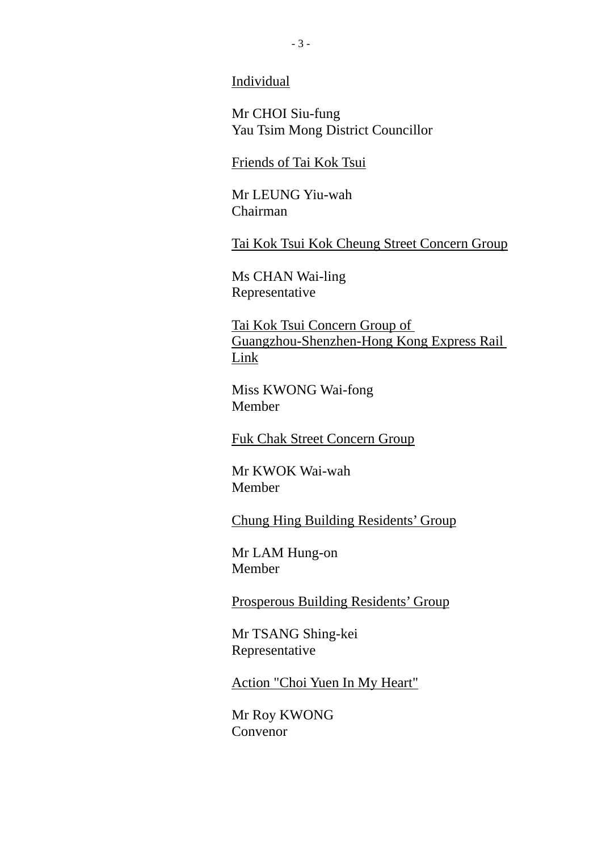Individual

Mr CHOI Siu-fung Yau Tsim Mong District Councillor

Friends of Tai Kok Tsui

Mr LEUNG Yiu-wah Chairman

Tai Kok Tsui Kok Cheung Street Concern Group

Ms CHAN Wai-ling Representative

Tai Kok Tsui Concern Group of Guangzhou-Shenzhen-Hong Kong Express Rail Link

Miss KWONG Wai-fong Member

Fuk Chak Street Concern Group

Mr KWOK Wai-wah Member

Chung Hing Building Residents' Group

Mr LAM Hung-on Member

Prosperous Building Residents' Group

Mr TSANG Shing-kei Representative

Action "Choi Yuen In My Heart"

Mr Roy KWONG Convenor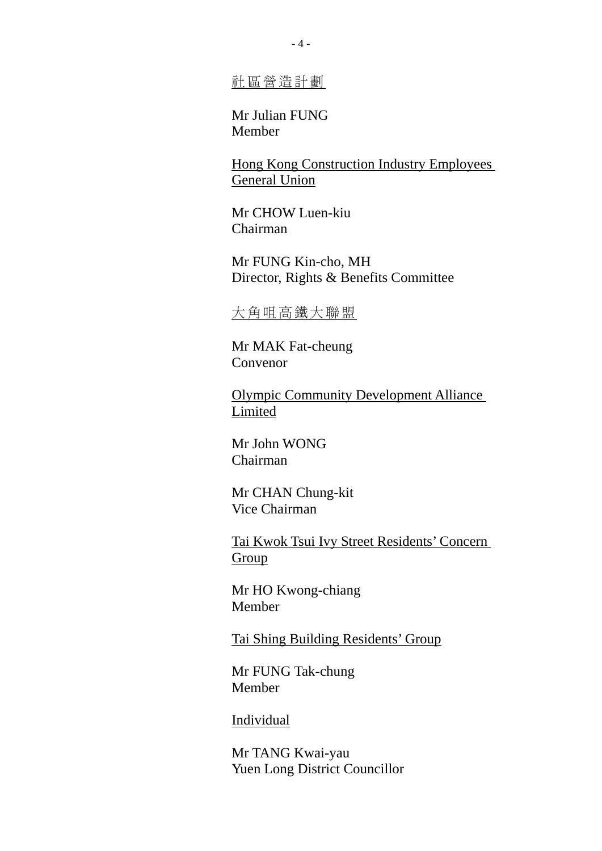社區營造計劃

Mr Julian FUNG Member

Hong Kong Construction Industry Employees General Union

Mr CHOW Luen-kiu Chairman

Mr FUNG Kin-cho, MH Director, Rights & Benefits Committee

### 大角咀高鐵大聯盟

Mr MAK Fat-cheung Convenor

Olympic Community Development Alliance Limited

Mr John WONG Chairman

Mr CHAN Chung-kit Vice Chairman

Tai Kwok Tsui Ivy Street Residents' Concern Group

Mr HO Kwong-chiang Member

Tai Shing Building Residents' Group

Mr FUNG Tak-chung Member

#### Individual

Mr TANG Kwai-yau Yuen Long District Councillor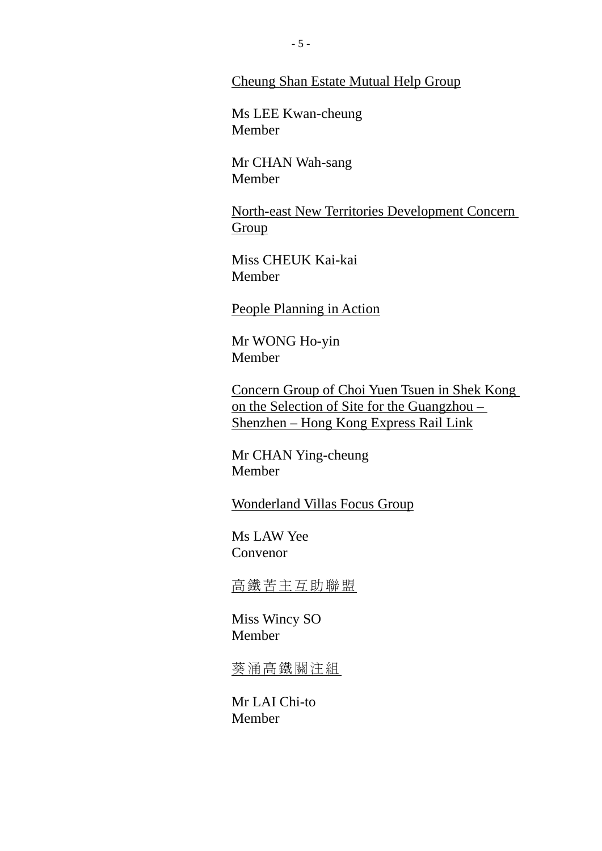#### Cheung Shan Estate Mutual Help Group

Ms LEE Kwan-cheung Member

Mr CHAN Wah-sang Member

North-east New Territories Development Concern Group

Miss CHEUK Kai-kai Member

People Planning in Action

Mr WONG Ho-yin Member

Concern Group of Choi Yuen Tsuen in Shek Kong on the Selection of Site for the Guangzhou – Shenzhen – Hong Kong Express Rail Link

Mr CHAN Ying-cheung Member

Wonderland Villas Focus Group

Ms LAW Yee Convenor

高鐵苦主互助聯盟

Miss Wincy SO Member

葵涌高鐵關注組

Mr LAI Chi-to Member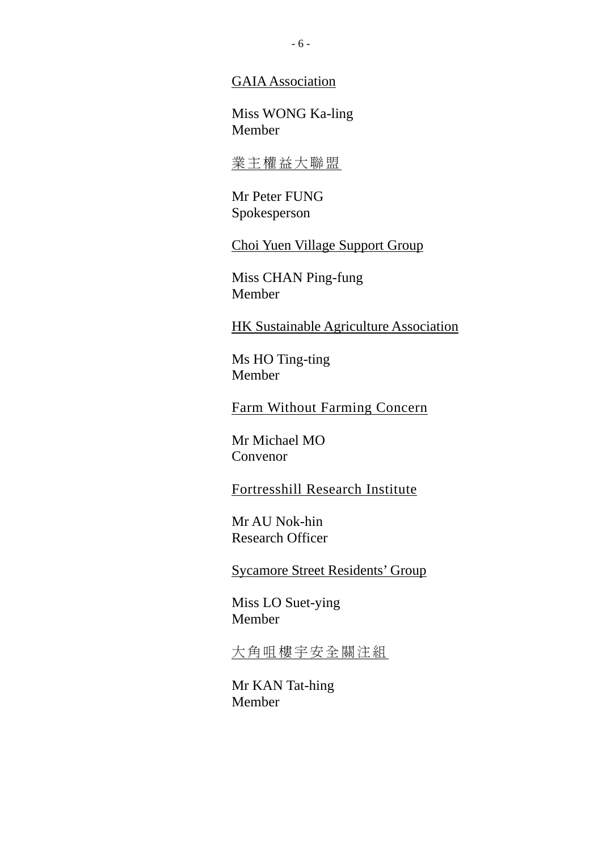#### GAIA Association

Miss WONG Ka-ling Member

## 業主權益大聯盟

Mr Peter FUNG Spokesperson

Choi Yuen Village Support Group

Miss CHAN Ping-fung Member

HK Sustainable Agriculture Association

Ms HO Ting-ting Member

Farm Without Farming Concern

Mr Michael MO Convenor

Fortresshill Research Institute

Mr AU Nok-hin Research Officer

Sycamore Street Residents' Group

Miss LO Suet-ying Member

大角咀樓宇安全關注組

Mr KAN Tat-hing Member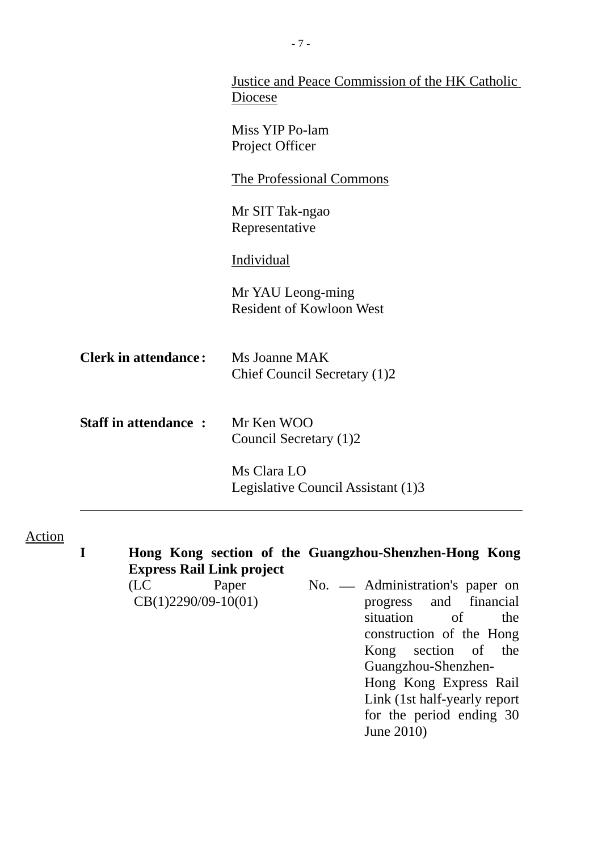|                             | <b>Justice and Peace Commission of the HK Catholic</b><br>Diocese |
|-----------------------------|-------------------------------------------------------------------|
|                             | Miss YIP Po-lam<br>Project Officer                                |
|                             | <b>The Professional Commons</b>                                   |
|                             | Mr SIT Tak-ngao<br>Representative                                 |
|                             | Individual                                                        |
|                             | Mr YAU Leong-ming<br><b>Resident of Kowloon West</b>              |
| <b>Clerk in attendance:</b> | Ms Joanne MAK<br>Chief Council Secretary (1)2                     |
| <b>Staff in attendance:</b> | Mr Ken WOO<br>Council Secretary (1)2                              |
|                             | Ms Clara LO<br>Legislative Council Assistant (1)3                 |

- 7 -

Action

**I Hong Kong section of the Guangzhou-Shenzhen-Hong Kong Express Rail Link project**  (LC Paper CB(1)2290/09-10(01) No. - Administration's paper on

progress and financial situation of the construction of the Hong Kong section of the Guangzhou-Shenzhen-Hong Kong Express Rail Link (1st half-yearly report for the period ending 30 June 2010)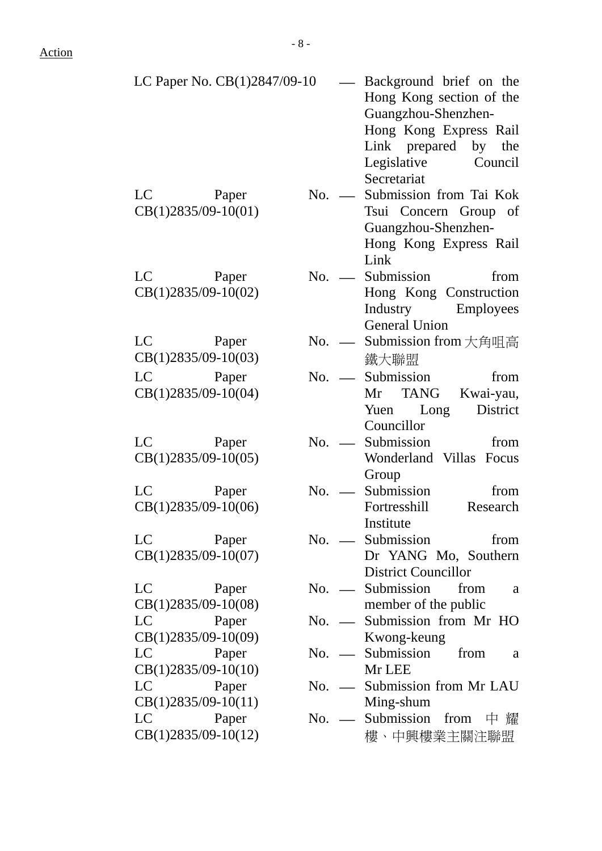| LC Paper No. CB(1)2847/09-10                                                                                                                                                                                                                                     | — Background brief on the<br>Hong Kong section of the<br>Guangzhou-Shenzhen-<br>Hong Kong Express Rail<br>Link prepared by the<br>Legislative Council<br>Secretariat |
|------------------------------------------------------------------------------------------------------------------------------------------------------------------------------------------------------------------------------------------------------------------|----------------------------------------------------------------------------------------------------------------------------------------------------------------------|
| LC<br>Paper<br>$CB(1)2835/09-10(01)$                                                                                                                                                                                                                             | Submission from Tai Kok<br>$No.$ —<br>Tsui Concern Group of<br>Guangzhou-Shenzhen-<br>Hong Kong Express Rail<br>Link                                                 |
| LC and the set of the set of the set of the set of the set of the set of the set of the set of the set of the set of the set of the set of the set of the set of the set of the set of the set of the set of the set of the se<br>Paper<br>$CB(1)2835/09-10(02)$ | Submission<br>$No.$ —<br>from<br>Hong Kong Construction<br>Industry Employees<br><b>General Union</b>                                                                |
| LC<br>Paper<br>$CB(1)2835/09-10(03)$                                                                                                                                                                                                                             | Submission from 大角咀高<br>$No.$ —<br>鐵大聯盟                                                                                                                              |
| LC<br>Paper<br>$CB(1)2835/09-10(04)$                                                                                                                                                                                                                             | Submission<br>$No.$ —<br>from<br>Mr TANG<br>Kwai-yau,<br>District<br>Yuen Long<br>Councillor                                                                         |
| LC<br>Paper<br>$CB(1)2835/09-10(05)$                                                                                                                                                                                                                             | Submission<br>from<br>$No.$ —<br>Wonderland Villas Focus<br>Group                                                                                                    |
| LC<br>Paper<br>$CB(1)2835/09-10(06)$                                                                                                                                                                                                                             | Submission<br>from<br>$No.$ —<br>Fortresshill<br>Research<br>Institute                                                                                               |
| LC<br>Paper<br>$CB(1)2835/09-10(07)$                                                                                                                                                                                                                             | $No.$ <u>—</u> Submission<br>from<br>Dr YANG Mo, Southern<br><b>District Councillor</b>                                                                              |
| LC<br>Paper<br>$CB(1)2835/09-10(08)$                                                                                                                                                                                                                             | No. — Submission<br>from<br>a<br>member of the public                                                                                                                |
| LC<br>Paper<br>$CB(1)2835/09-10(09)$                                                                                                                                                                                                                             | Submission from Mr HO<br>$No.$ —<br>Kwong-keung                                                                                                                      |
| LC<br>Paper<br>$CB(1)2835/09-10(10)$                                                                                                                                                                                                                             | Submission<br>from<br>$No.$ —<br>a<br>Mr LEE                                                                                                                         |
| LC<br>Paper<br>$CB(1)2835/09-10(11)$                                                                                                                                                                                                                             | Submission from Mr LAU<br>$No.$ —<br>Ming-shum                                                                                                                       |
| LC<br>Paper<br>$CB(1)2835/09-10(12)$                                                                                                                                                                                                                             | Submission<br>$No.$ —<br>from<br>中 耀<br>樓、中興樓業主關注聯盟                                                                                                                  |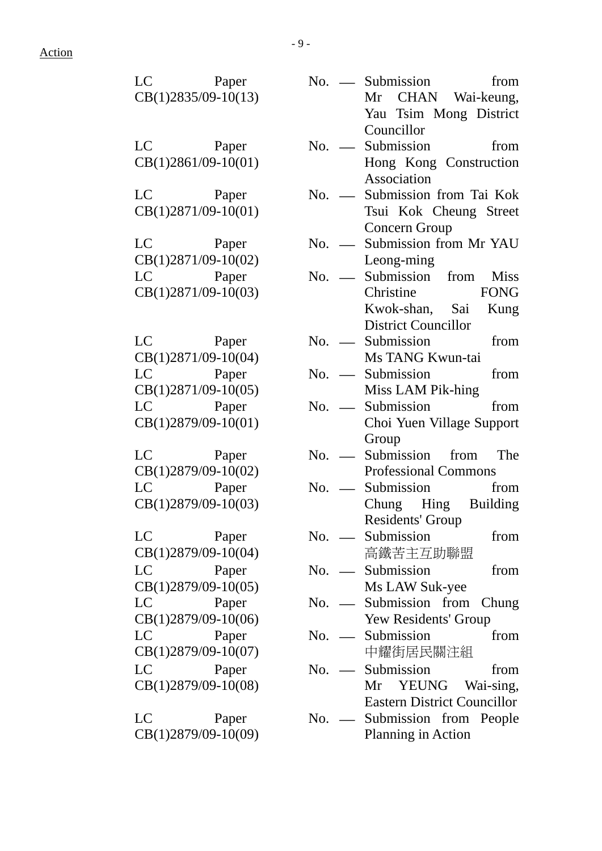| LC Paper                                                                                                                                                                                                                                |         | $No.$ <u>—</u> Submission<br>from  |
|-----------------------------------------------------------------------------------------------------------------------------------------------------------------------------------------------------------------------------------------|---------|------------------------------------|
| $CB(1)2835/09-10(13)$                                                                                                                                                                                                                   |         | Mr CHAN Wai-keung,                 |
|                                                                                                                                                                                                                                         |         | Yau Tsim Mong District             |
|                                                                                                                                                                                                                                         |         | Councillor                         |
| LC Paper                                                                                                                                                                                                                                | $No.$ — | Submission from                    |
| $CB(1)2861/09-10(01)$                                                                                                                                                                                                                   |         | Hong Kong Construction             |
|                                                                                                                                                                                                                                         |         | Association                        |
| LC Paper                                                                                                                                                                                                                                | $No.$ — | Submission from Tai Kok            |
| CB(1)2871/09-10(01)                                                                                                                                                                                                                     |         | Tsui Kok Cheung Street             |
|                                                                                                                                                                                                                                         |         | Concern Group                      |
| LC Paper                                                                                                                                                                                                                                | $No.$ — | Submission from Mr YAU             |
| $CB(1)2871/09-10(02)$                                                                                                                                                                                                                   |         | Leong-ming                         |
| LC Paper                                                                                                                                                                                                                                | $No.$ — | Submission from Miss               |
| $CB(1)2871/09-10(03)$                                                                                                                                                                                                                   |         | Christine FONG                     |
|                                                                                                                                                                                                                                         |         | Kwok-shan, Sai Kung                |
|                                                                                                                                                                                                                                         |         | <b>District Councillor</b>         |
| LC Paper                                                                                                                                                                                                                                |         | $No.$ Submission from              |
| $CB(1)2871/09-10(04)$                                                                                                                                                                                                                   |         | Ms TANG Kwun-tai                   |
| LC Paper                                                                                                                                                                                                                                |         | No. — Submission<br>from           |
| $CB(1)2871/09-10(05)$                                                                                                                                                                                                                   |         | Miss LAM Pik-hing                  |
| LC Paper                                                                                                                                                                                                                                |         | No. — Submission<br>from           |
| $CB(1)2879/09-10(01)$                                                                                                                                                                                                                   |         | Choi Yuen Village Support          |
|                                                                                                                                                                                                                                         |         | Group                              |
| LC Paper                                                                                                                                                                                                                                |         | No. — Submission from The          |
| $CB(1)2879/09-10(02)$                                                                                                                                                                                                                   |         | <b>Professional Commons</b>        |
| LC and the set of the set of the set of the set of the set of the set of the set of the set of the set of the set of the set of the set of the set of the set of the set of the set of the set of the set of the set of the se<br>Paper |         | $No.$ <u>—</u> Submission<br>from  |
| $CB(1)2879/09-10(03)$                                                                                                                                                                                                                   |         | Chung Hing Building                |
|                                                                                                                                                                                                                                         |         | Residents' Group                   |
| LC<br>Paper                                                                                                                                                                                                                             | $No.$ — | Submission<br>from                 |
| CB(1)2879/09-10(04)                                                                                                                                                                                                                     |         | 高鐵苦主互助聯盟                           |
| LC<br>Paper                                                                                                                                                                                                                             | $No.$ — | Submission<br>from                 |
| $CB(1)2879/09-10(05)$                                                                                                                                                                                                                   |         | Ms LAW Suk-yee                     |
| $LC$ and $LC$<br>Paper                                                                                                                                                                                                                  | $No.$ — | Submission from Chung              |
| CB(1)2879/09-10(06)                                                                                                                                                                                                                     |         | Yew Residents' Group               |
| LC<br>Paper                                                                                                                                                                                                                             | $No.$ — | Submission<br>from                 |
| CB(1)2879/09-10(07)                                                                                                                                                                                                                     |         | 中耀街居民關注組                           |
| $LC$ and $LC$<br>Paper                                                                                                                                                                                                                  | $No.$ — | Submission<br>from                 |
| $CB(1)2879/09-10(08)$                                                                                                                                                                                                                   |         | Mr YEUNG Wai-sing,                 |
|                                                                                                                                                                                                                                         |         | <b>Eastern District Councillor</b> |
| LC<br>Paper                                                                                                                                                                                                                             | $No.$ — | Submission from People             |
| CB(1)2879/09-10(09)                                                                                                                                                                                                                     |         | Planning in Action                 |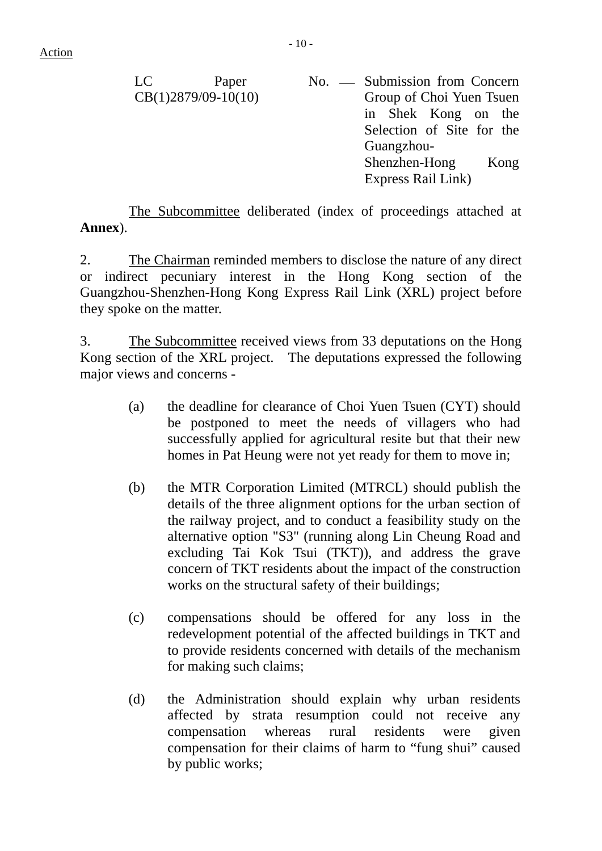LC Paper CB(1)2879/09-10(10) No. — Submission from Concern Group of Choi Yuen Tsuen in Shek Kong on the Selection of Site for the Guangzhou-Shenzhen-Hong Kong Express Rail Link)

 The Subcommittee deliberated (index of proceedings attached at **Annex**).

2. The Chairman reminded members to disclose the nature of any direct or indirect pecuniary interest in the Hong Kong section of the Guangzhou-Shenzhen-Hong Kong Express Rail Link (XRL) project before they spoke on the matter.

3. The Subcommittee received views from 33 deputations on the Hong Kong section of the XRL project. The deputations expressed the following major views and concerns -

- (a) the deadline for clearance of Choi Yuen Tsuen (CYT) should be postponed to meet the needs of villagers who had successfully applied for agricultural resite but that their new homes in Pat Heung were not yet ready for them to move in;
- (b) the MTR Corporation Limited (MTRCL) should publish the details of the three alignment options for the urban section of the railway project, and to conduct a feasibility study on the alternative option "S3" (running along Lin Cheung Road and excluding Tai Kok Tsui (TKT)), and address the grave concern of TKT residents about the impact of the construction works on the structural safety of their buildings;
- (c) compensations should be offered for any loss in the redevelopment potential of the affected buildings in TKT and to provide residents concerned with details of the mechanism for making such claims;
- (d) the Administration should explain why urban residents affected by strata resumption could not receive any compensation whereas rural residents were given compensation for their claims of harm to "fung shui" caused by public works;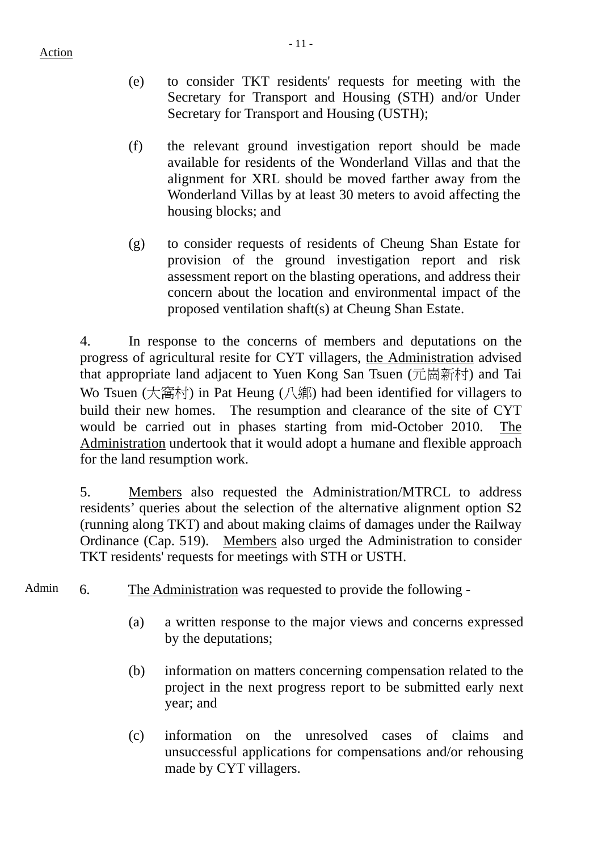- (e) to consider TKT residents' requests for meeting with the Secretary for Transport and Housing (STH) and/or Under Secretary for Transport and Housing (USTH);
- (f) the relevant ground investigation report should be made available for residents of the Wonderland Villas and that the alignment for XRL should be moved farther away from the Wonderland Villas by at least 30 meters to avoid affecting the housing blocks; and
- (g) to consider requests of residents of Cheung Shan Estate for provision of the ground investigation report and risk assessment report on the blasting operations, and address their concern about the location and environmental impact of the proposed ventilation shaft(s) at Cheung Shan Estate.

4. In response to the concerns of members and deputations on the progress of agricultural resite for CYT villagers, the Administration advised that appropriate land adjacent to Yuen Kong San Tsuen (元崗新村) and Tai Wo Tsuen (大窩村) in Pat Heung (八鄉) had been identified for villagers to build their new homes. The resumption and clearance of the site of CYT would be carried out in phases starting from mid-October 2010. The Administration undertook that it would adopt a humane and flexible approach for the land resumption work.

5. Members also requested the Administration/MTRCL to address residents' queries about the selection of the alternative alignment option S2 (running along TKT) and about making claims of damages under the Railway Ordinance (Cap. 519). Members also urged the Administration to consider TKT residents' requests for meetings with STH or USTH.

- Admin 6. The Administration was requested to provide the following -
	- (a) a written response to the major views and concerns expressed by the deputations;
	- (b) information on matters concerning compensation related to the project in the next progress report to be submitted early next year; and
	- (c) information on the unresolved cases of claims and unsuccessful applications for compensations and/or rehousing made by CYT villagers.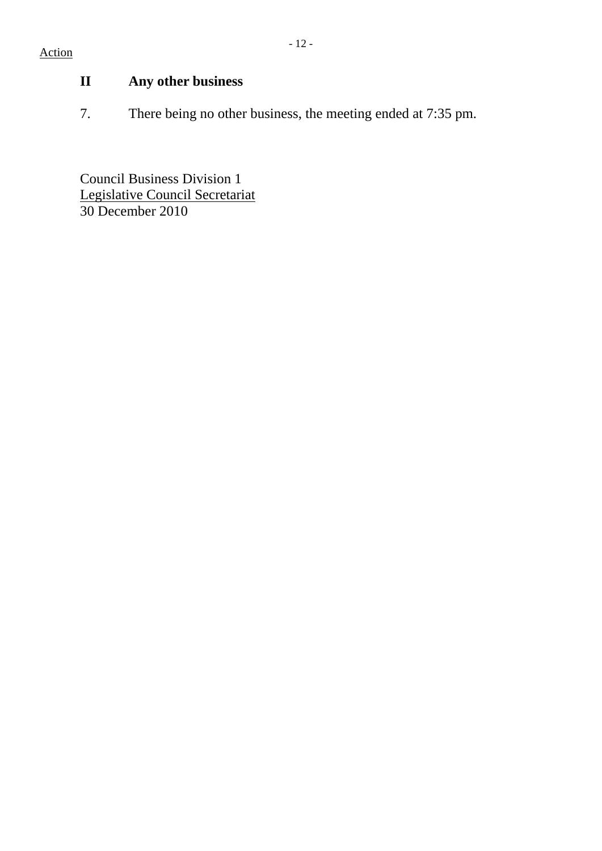# Action

# **II Any other business**

7. There being no other business, the meeting ended at 7:35 pm.

Council Business Division 1 Legislative Council Secretariat 30 December 2010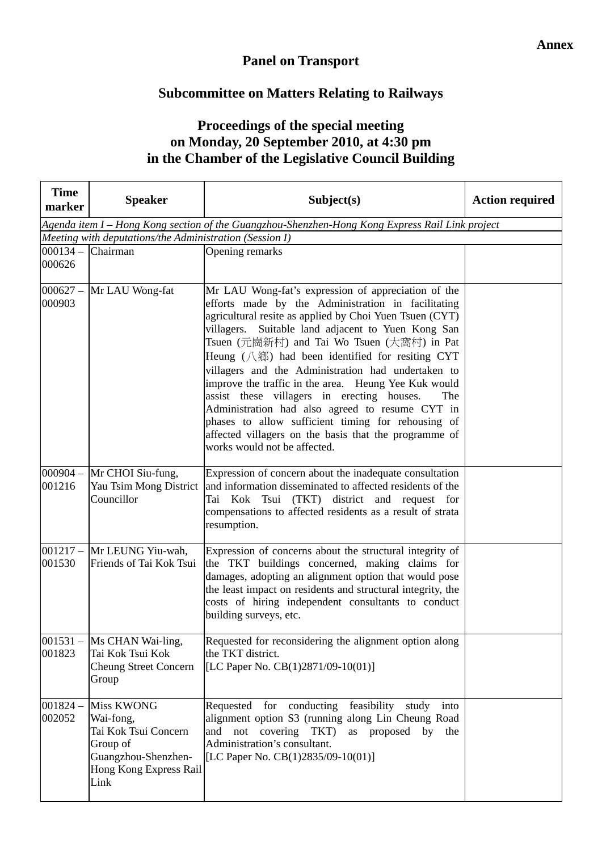## **Panel on Transport**

# **Subcommittee on Matters Relating to Railways**

# **Proceedings of the special meeting on Monday, 20 September 2010, at 4:30 pm in the Chamber of the Legislative Council Building**

| <b>Time</b><br>marker | <b>Speaker</b>                                                                                                              | Subject(s)                                                                                                                                                                                                                                                                                                                                                                                                                                                                                                                                                                                                                                                                                                             | <b>Action required</b> |  |  |  |
|-----------------------|-----------------------------------------------------------------------------------------------------------------------------|------------------------------------------------------------------------------------------------------------------------------------------------------------------------------------------------------------------------------------------------------------------------------------------------------------------------------------------------------------------------------------------------------------------------------------------------------------------------------------------------------------------------------------------------------------------------------------------------------------------------------------------------------------------------------------------------------------------------|------------------------|--|--|--|
|                       | Agenda item I - Hong Kong section of the Guangzhou-Shenzhen-Hong Kong Express Rail Link project                             |                                                                                                                                                                                                                                                                                                                                                                                                                                                                                                                                                                                                                                                                                                                        |                        |  |  |  |
|                       | Meeting with deputations/the Administration (Session I)                                                                     |                                                                                                                                                                                                                                                                                                                                                                                                                                                                                                                                                                                                                                                                                                                        |                        |  |  |  |
| 000626                | $000134 -$ Chairman                                                                                                         | Opening remarks                                                                                                                                                                                                                                                                                                                                                                                                                                                                                                                                                                                                                                                                                                        |                        |  |  |  |
| 000903                | $000627 -$ Mr LAU Wong-fat                                                                                                  | Mr LAU Wong-fat's expression of appreciation of the<br>efforts made by the Administration in facilitating<br>agricultural resite as applied by Choi Yuen Tsuen (CYT)<br>villagers. Suitable land adjacent to Yuen Kong San<br>Tsuen (元崗新村) and Tai Wo Tsuen (大窩村) in Pat<br>Heung $(\Lambda$ $\mathfrak{M})$ had been identified for resiting CYT<br>villagers and the Administration had undertaken to<br>improve the traffic in the area. Heung Yee Kuk would<br>assist these villagers in erecting houses.<br>The<br>Administration had also agreed to resume CYT in<br>phases to allow sufficient timing for rehousing of<br>affected villagers on the basis that the programme of<br>works would not be affected. |                        |  |  |  |
| $000904 -$<br>001216  | Mr CHOI Siu-fung,<br>Yau Tsim Mong District<br>Councillor                                                                   | Expression of concern about the inadequate consultation<br>and information disseminated to affected residents of the<br>Tai Kok Tsui (TKT) district and request for<br>compensations to affected residents as a result of strata<br>resumption.                                                                                                                                                                                                                                                                                                                                                                                                                                                                        |                        |  |  |  |
| 001530                | 001217 - Mr LEUNG Yiu-wah,<br>Friends of Tai Kok Tsui                                                                       | Expression of concerns about the structural integrity of<br>the TKT buildings concerned, making claims for<br>damages, adopting an alignment option that would pose<br>the least impact on residents and structural integrity, the<br>costs of hiring independent consultants to conduct<br>building surveys, etc.                                                                                                                                                                                                                                                                                                                                                                                                     |                        |  |  |  |
| 001823                | $ 001531 -  $ Ms CHAN Wai-ling,<br>Tai Kok Tsui Kok<br><b>Cheung Street Concern</b><br>Group                                | Requested for reconsidering the alignment option along<br>the TKT district.<br>[LC Paper No. CB $(1)$ 2871/09-10 $(01)$ ]                                                                                                                                                                                                                                                                                                                                                                                                                                                                                                                                                                                              |                        |  |  |  |
| $001824 -$<br>002052  | <b>Miss KWONG</b><br>Wai-fong,<br>Tai Kok Tsui Concern<br>Group of<br>Guangzhou-Shenzhen-<br>Hong Kong Express Rail<br>Link | Requested for conducting feasibility study<br>into<br>alignment option S3 (running along Lin Cheung Road<br>and not covering TKT) as proposed by<br>the<br>Administration's consultant.<br>[LC Paper No. CB(1)2835/09-10(01)]                                                                                                                                                                                                                                                                                                                                                                                                                                                                                          |                        |  |  |  |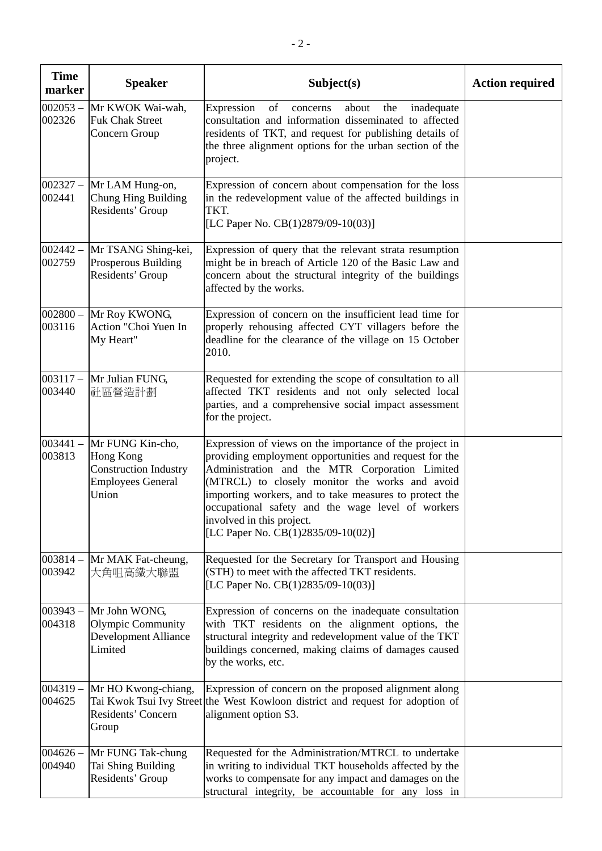| <b>Time</b><br>marker | <b>Speaker</b>                                                                                     | Subject(s)                                                                                                                                                                                                                                                                                                                                                                                              | <b>Action required</b> |
|-----------------------|----------------------------------------------------------------------------------------------------|---------------------------------------------------------------------------------------------------------------------------------------------------------------------------------------------------------------------------------------------------------------------------------------------------------------------------------------------------------------------------------------------------------|------------------------|
| $002053 -$<br>002326  | Mr KWOK Wai-wah,<br><b>Fuk Chak Street</b><br>Concern Group                                        | of<br>Expression<br>inadequate<br>concerns<br>about<br>the<br>consultation and information disseminated to affected<br>residents of TKT, and request for publishing details of<br>the three alignment options for the urban section of the<br>project.                                                                                                                                                  |                        |
| $002327 -$<br>002441  | Mr LAM Hung-on,<br>Chung Hing Building<br>Residents' Group                                         | Expression of concern about compensation for the loss<br>in the redevelopment value of the affected buildings in<br>TKT.<br>[LC Paper No. CB(1)2879/09-10(03)]                                                                                                                                                                                                                                          |                        |
| $002442 -$<br>002759  | Mr TSANG Shing-kei,<br>Prosperous Building<br>Residents' Group                                     | Expression of query that the relevant strata resumption<br>might be in breach of Article 120 of the Basic Law and<br>concern about the structural integrity of the buildings<br>affected by the works.                                                                                                                                                                                                  |                        |
| $002800 -$<br>003116  | Mr Roy KWONG,<br>Action "Choi Yuen In<br>My Heart"                                                 | Expression of concern on the insufficient lead time for<br>properly rehousing affected CYT villagers before the<br>deadline for the clearance of the village on 15 October<br>2010.                                                                                                                                                                                                                     |                        |
| $003117 -$<br>003440  | Mr Julian FUNG,<br>社區營造計劃                                                                          | Requested for extending the scope of consultation to all<br>affected TKT residents and not only selected local<br>parties, and a comprehensive social impact assessment<br>for the project.                                                                                                                                                                                                             |                        |
| $003441 -$<br>003813  | Mr FUNG Kin-cho,<br>Hong Kong<br><b>Construction Industry</b><br><b>Employees General</b><br>Union | Expression of views on the importance of the project in<br>providing employment opportunities and request for the<br>Administration and the MTR Corporation Limited<br>(MTRCL) to closely monitor the works and avoid<br>importing workers, and to take measures to protect the<br>occupational safety and the wage level of workers<br>involved in this project.<br>[LC Paper No. CB(1)2835/09-10(02)] |                        |
| $003814 -$<br>003942  | Mr MAK Fat-cheung,<br>大角咀高鐵大聯盟                                                                     | Requested for the Secretary for Transport and Housing<br>(STH) to meet with the affected TKT residents.<br>[LC Paper No. CB(1)2835/09-10(03)]                                                                                                                                                                                                                                                           |                        |
| $003943 -$<br>004318  | Mr John WONG,<br>Olympic Community<br><b>Development Alliance</b><br>Limited                       | Expression of concerns on the inadequate consultation<br>with TKT residents on the alignment options, the<br>structural integrity and redevelopment value of the TKT<br>buildings concerned, making claims of damages caused<br>by the works, etc.                                                                                                                                                      |                        |
| $004319 -$<br>004625  | Mr HO Kwong-chiang,<br>Residents' Concern<br>Group                                                 | Expression of concern on the proposed alignment along<br>Tai Kwok Tsui Ivy Street the West Kowloon district and request for adoption of<br>alignment option S3.                                                                                                                                                                                                                                         |                        |
| $004626 -$<br>004940  | Mr FUNG Tak-chung<br>Tai Shing Building<br>Residents' Group                                        | Requested for the Administration/MTRCL to undertake<br>in writing to individual TKT households affected by the<br>works to compensate for any impact and damages on the<br>structural integrity, be accountable for any loss in                                                                                                                                                                         |                        |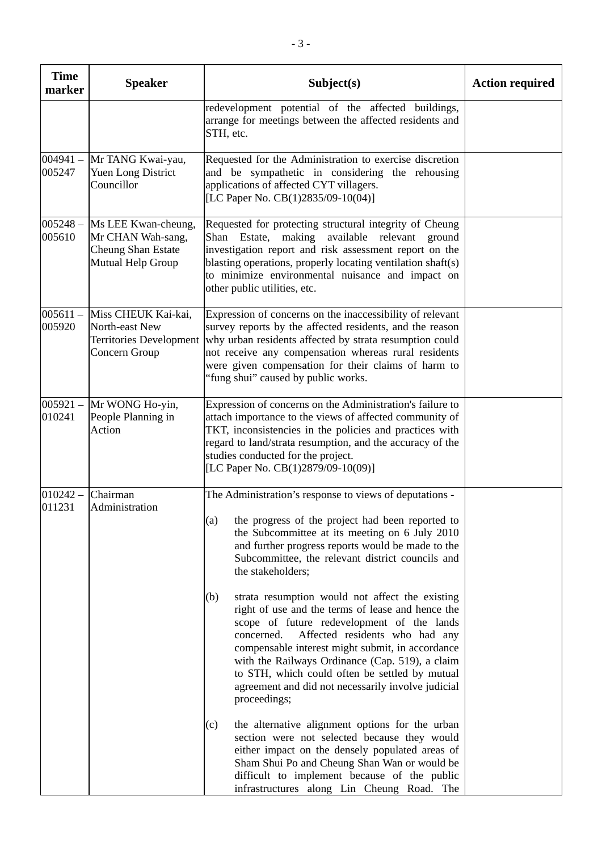| <b>Time</b><br>marker | <b>Speaker</b>                                                                      | Subject(s)                                                                                                                                                                                                                                                                                                                                                                                                                               | <b>Action required</b> |
|-----------------------|-------------------------------------------------------------------------------------|------------------------------------------------------------------------------------------------------------------------------------------------------------------------------------------------------------------------------------------------------------------------------------------------------------------------------------------------------------------------------------------------------------------------------------------|------------------------|
|                       |                                                                                     | redevelopment potential of the affected buildings,<br>arrange for meetings between the affected residents and<br>STH, etc.                                                                                                                                                                                                                                                                                                               |                        |
| $004941 -$<br>005247  | Mr TANG Kwai-yau,<br>Yuen Long District<br>Councillor                               | Requested for the Administration to exercise discretion<br>and be sympathetic in considering the rehousing<br>applications of affected CYT villagers.<br>[LC Paper No. CB(1)2835/09-10(04)]                                                                                                                                                                                                                                              |                        |
| $005248 -$<br>005610  | Ms LEE Kwan-cheung,<br>Mr CHAN Wah-sang,<br>Cheung Shan Estate<br>Mutual Help Group | Requested for protecting structural integrity of Cheung<br>making<br>Estate,<br>available<br>relevant<br>Shan<br>ground<br>investigation report and risk assessment report on the<br>blasting operations, properly locating ventilation shaft(s)<br>to minimize environmental nuisance and impact on<br>other public utilities, etc.                                                                                                     |                        |
| $005611 -$<br>005920  | Miss CHEUK Kai-kai,<br>North-east New<br>Territories Development<br>Concern Group   | Expression of concerns on the inaccessibility of relevant<br>survey reports by the affected residents, and the reason<br>why urban residents affected by strata resumption could<br>not receive any compensation whereas rural residents<br>were given compensation for their claims of harm to<br>"fung shui" caused by public works.                                                                                                   |                        |
| $005921 -$<br>010241  | Mr WONG Ho-yin,<br>People Planning in<br>Action                                     | Expression of concerns on the Administration's failure to<br>attach importance to the views of affected community of<br>TKT, inconsistencies in the policies and practices with<br>regard to land/strata resumption, and the accuracy of the<br>studies conducted for the project.<br>[LC Paper No. CB(1)2879/09-10(09)]                                                                                                                 |                        |
| $010242 -$<br>011231  | Chairman<br>Administration                                                          | The Administration's response to views of deputations -<br>(a) the progress of the project had been reported to<br>the Subcommittee at its meeting on 6 July 2010<br>and further progress reports would be made to the<br>Subcommittee, the relevant district councils and<br>the stakeholders;                                                                                                                                          |                        |
|                       |                                                                                     | strata resumption would not affect the existing<br>(b)<br>right of use and the terms of lease and hence the<br>scope of future redevelopment of the lands<br>concerned.<br>Affected residents who had any<br>compensable interest might submit, in accordance<br>with the Railways Ordinance (Cap. 519), a claim<br>to STH, which could often be settled by mutual<br>agreement and did not necessarily involve judicial<br>proceedings; |                        |
|                       |                                                                                     | the alternative alignment options for the urban<br>(c)<br>section were not selected because they would<br>either impact on the densely populated areas of<br>Sham Shui Po and Cheung Shan Wan or would be<br>difficult to implement because of the public<br>infrastructures along Lin Cheung Road. The                                                                                                                                  |                        |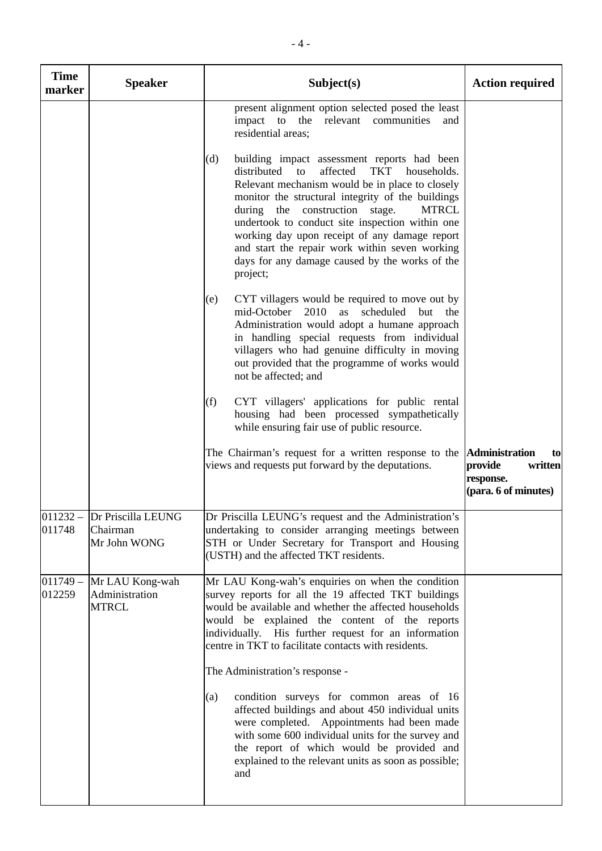| <b>Time</b><br>marker | <b>Speaker</b>                                    | Subject(s)                                                                                                                                                                                                                                                                                                                                                                                                                                                                                        | <b>Action required</b>                                        |
|-----------------------|---------------------------------------------------|---------------------------------------------------------------------------------------------------------------------------------------------------------------------------------------------------------------------------------------------------------------------------------------------------------------------------------------------------------------------------------------------------------------------------------------------------------------------------------------------------|---------------------------------------------------------------|
|                       |                                                   | present alignment option selected posed the least<br>impact to the relevant communities<br>and<br>residential areas;                                                                                                                                                                                                                                                                                                                                                                              |                                                               |
|                       |                                                   | (d)<br>building impact assessment reports had been<br>affected<br><b>TKT</b><br>distributed<br>to<br>households.<br>Relevant mechanism would be in place to closely<br>monitor the structural integrity of the buildings<br>during the construction<br><b>MTRCL</b><br>stage.<br>undertook to conduct site inspection within one<br>working day upon receipt of any damage report<br>and start the repair work within seven working<br>days for any damage caused by the works of the<br>project; |                                                               |
|                       |                                                   | CYT villagers would be required to move out by<br>(e)<br>mid-October 2010 as scheduled but the<br>Administration would adopt a humane approach<br>in handling special requests from individual<br>villagers who had genuine difficulty in moving<br>out provided that the programme of works would<br>not be affected; and                                                                                                                                                                        |                                                               |
|                       |                                                   | CYT villagers' applications for public rental<br>(f)<br>housing had been processed sympathetically<br>while ensuring fair use of public resource.                                                                                                                                                                                                                                                                                                                                                 |                                                               |
|                       |                                                   | The Chairman's request for a written response to the <b>Administration</b><br>views and requests put forward by the deputations.                                                                                                                                                                                                                                                                                                                                                                  | to<br>provide<br>written<br>response.<br>(para. 6 of minutes) |
| 011232<br>011748      | Dr Priscilla LEUNG<br>Chairman<br>Mr John WONG    | Dr Priscilla LEUNG's request and the Administration's<br>undertaking to consider arranging meetings between<br>STH or Under Secretary for Transport and Housing<br>(USTH) and the affected TKT residents.                                                                                                                                                                                                                                                                                         |                                                               |
| $011749 -$<br>012259  | Mr LAU Kong-wah<br>Administration<br><b>MTRCL</b> | Mr LAU Kong-wah's enquiries on when the condition<br>survey reports for all the 19 affected TKT buildings<br>would be available and whether the affected households<br>would be explained the content of the reports<br>individually. His further request for an information<br>centre in TKT to facilitate contacts with residents.<br>The Administration's response -                                                                                                                           |                                                               |
|                       |                                                   | condition surveys for common areas of 16<br>(a)<br>affected buildings and about 450 individual units<br>were completed. Appointments had been made<br>with some 600 individual units for the survey and<br>the report of which would be provided and<br>explained to the relevant units as soon as possible;<br>and                                                                                                                                                                               |                                                               |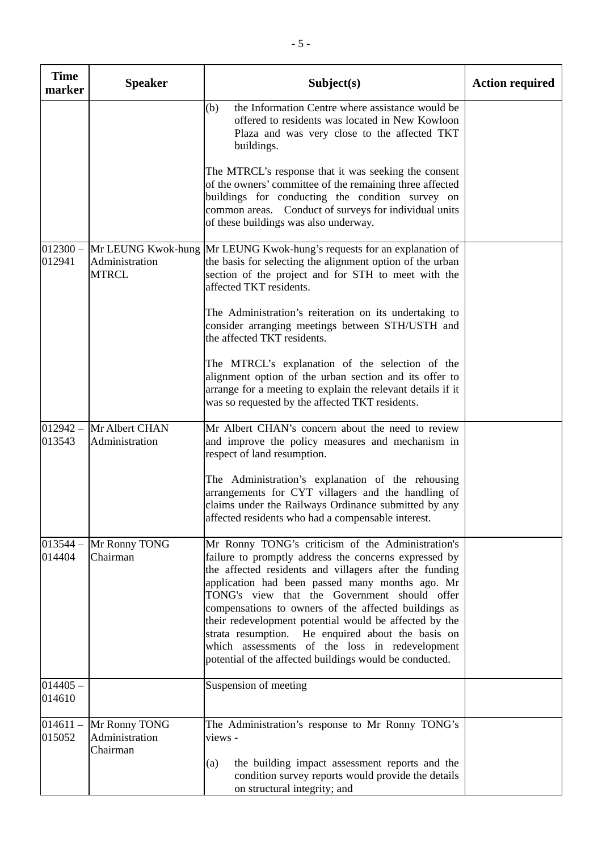| <b>Time</b><br>marker | <b>Speaker</b>                              | Subject(s)                                                                                                                                                                                                                                                                                                                                                                                                                                                                                                                                                  | <b>Action required</b> |
|-----------------------|---------------------------------------------|-------------------------------------------------------------------------------------------------------------------------------------------------------------------------------------------------------------------------------------------------------------------------------------------------------------------------------------------------------------------------------------------------------------------------------------------------------------------------------------------------------------------------------------------------------------|------------------------|
|                       |                                             | the Information Centre where assistance would be<br>(b)<br>offered to residents was located in New Kowloon<br>Plaza and was very close to the affected TKT<br>buildings.                                                                                                                                                                                                                                                                                                                                                                                    |                        |
|                       |                                             | The MTRCL's response that it was seeking the consent<br>of the owners' committee of the remaining three affected<br>buildings for conducting the condition survey on<br>common areas. Conduct of surveys for individual units<br>of these buildings was also underway.                                                                                                                                                                                                                                                                                      |                        |
| $012300 -$<br>012941  | Administration<br><b>MTRCL</b>              | Mr LEUNG Kwok-hung Mr LEUNG Kwok-hung's requests for an explanation of<br>the basis for selecting the alignment option of the urban<br>section of the project and for STH to meet with the<br>affected TKT residents.                                                                                                                                                                                                                                                                                                                                       |                        |
|                       |                                             | The Administration's reiteration on its undertaking to<br>consider arranging meetings between STH/USTH and<br>the affected TKT residents.                                                                                                                                                                                                                                                                                                                                                                                                                   |                        |
|                       |                                             | The MTRCL's explanation of the selection of the<br>alignment option of the urban section and its offer to<br>arrange for a meeting to explain the relevant details if it<br>was so requested by the affected TKT residents.                                                                                                                                                                                                                                                                                                                                 |                        |
| $012942 -$<br>013543  | Mr Albert CHAN<br>Administration            | Mr Albert CHAN's concern about the need to review<br>and improve the policy measures and mechanism in<br>respect of land resumption.                                                                                                                                                                                                                                                                                                                                                                                                                        |                        |
|                       |                                             | The Administration's explanation of the rehousing<br>arrangements for CYT villagers and the handling of<br>claims under the Railways Ordinance submitted by any<br>affected residents who had a compensable interest.                                                                                                                                                                                                                                                                                                                                       |                        |
| $013544 -$<br>014404  | Mr Ronny TONG<br>Chairman                   | Mr Ronny TONG's criticism of the Administration's<br>failure to promptly address the concerns expressed by<br>the affected residents and villagers after the funding<br>application had been passed many months ago. Mr<br>TONG's view that the Government should offer<br>compensations to owners of the affected buildings as<br>their redevelopment potential would be affected by the<br>strata resumption. He enquired about the basis on<br>which assessments of the loss in redevelopment<br>potential of the affected buildings would be conducted. |                        |
| $014405 -$<br>014610  |                                             | Suspension of meeting                                                                                                                                                                                                                                                                                                                                                                                                                                                                                                                                       |                        |
| $014611 -$<br>015052  | Mr Ronny TONG<br>Administration<br>Chairman | The Administration's response to Mr Ronny TONG's<br>views -                                                                                                                                                                                                                                                                                                                                                                                                                                                                                                 |                        |
|                       |                                             | the building impact assessment reports and the<br>(a)<br>condition survey reports would provide the details<br>on structural integrity; and                                                                                                                                                                                                                                                                                                                                                                                                                 |                        |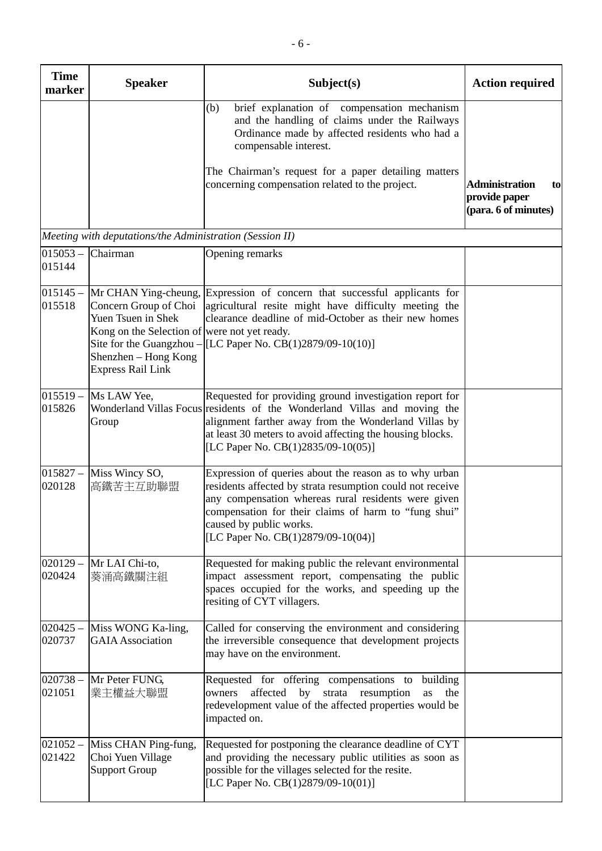|                       |                                                                                                                                                                                                     | $-6-$                                                                                                                                                                                                                                                                                               |                                                                      |
|-----------------------|-----------------------------------------------------------------------------------------------------------------------------------------------------------------------------------------------------|-----------------------------------------------------------------------------------------------------------------------------------------------------------------------------------------------------------------------------------------------------------------------------------------------------|----------------------------------------------------------------------|
| <b>Time</b><br>marker | <b>Speaker</b>                                                                                                                                                                                      | Subject(s)                                                                                                                                                                                                                                                                                          | <b>Action required</b>                                               |
|                       |                                                                                                                                                                                                     | brief explanation of compensation mechanism<br>(b)<br>and the handling of claims under the Railways<br>Ordinance made by affected residents who had a<br>compensable interest.<br>The Chairman's request for a paper detailing matters<br>concerning compensation related to the project.           | <b>Administration</b><br>to<br>provide paper<br>(para. 6 of minutes) |
|                       | Meeting with deputations/the Administration (Session II)                                                                                                                                            |                                                                                                                                                                                                                                                                                                     |                                                                      |
| $015053 -$<br>015144  | Chairman                                                                                                                                                                                            | Opening remarks                                                                                                                                                                                                                                                                                     |                                                                      |
| $015145 -$<br>015518  | Mr CHAN Ying-cheung,<br>Concern Group of Choi<br>Yuen Tsuen in Shek<br>Kong on the Selection of were not yet ready.<br>Site for the Guangzhou -<br>Shenzhen - Hong Kong<br><b>Express Rail Link</b> | Expression of concern that successful applicants for<br>agricultural resite might have difficulty meeting the<br>clearance deadline of mid-October as their new homes<br>[LC Paper No. CB(1)2879/09-10(10)]                                                                                         |                                                                      |
| $015519 -$<br>015826  | Ms LAW Yee,<br>Group                                                                                                                                                                                | Requested for providing ground investigation report for<br>Wonderland Villas Focus residents of the Wonderland Villas and moving the<br>alignment farther away from the Wonderland Villas by<br>at least 30 meters to avoid affecting the housing blocks.<br>[LC Paper No. $CB(1)2835/09-10(05)$ ]  |                                                                      |
| $015827 -$<br>020128  | Miss Wincy SO,<br>高鐵苦主互助聯盟                                                                                                                                                                          | Expression of queries about the reason as to why urban<br>residents affected by strata resumption could not receive<br>any compensation whereas rural residents were given<br>compensation for their claims of harm to "fung shui"<br>caused by public works.<br>[LC Paper No. CB(1)2879/09-10(04)] |                                                                      |
| $020129 -$<br>020424  | Mr LAI Chi-to,<br>葵涌高鐵關注組                                                                                                                                                                           | Requested for making public the relevant environmental<br>impact assessment report, compensating the public<br>spaces occupied for the works, and speeding up the<br>resiting of CYT villagers.                                                                                                     |                                                                      |
| $020425 -$<br>020737  | Miss WONG Ka-ling,<br><b>GAIA</b> Association                                                                                                                                                       | Called for conserving the environment and considering<br>the irreversible consequence that development projects<br>may have on the environment.                                                                                                                                                     |                                                                      |
| $020738 -$<br>021051  | Mr Peter FUNG,<br>業主權益大聯盟                                                                                                                                                                           | Requested for offering compensations to<br>building<br>affected by strata resumption<br>owners<br>as<br>the<br>redevelopment value of the affected properties would be<br>impacted on.                                                                                                              |                                                                      |
| $021052 -$<br>021422  | Miss CHAN Ping-fung,<br>Choi Yuen Village<br><b>Support Group</b>                                                                                                                                   | Requested for postponing the clearance deadline of CYT<br>and providing the necessary public utilities as soon as<br>possible for the villages selected for the resite.<br>[LC Paper No. CB(1)2879/09-10(01)]                                                                                       |                                                                      |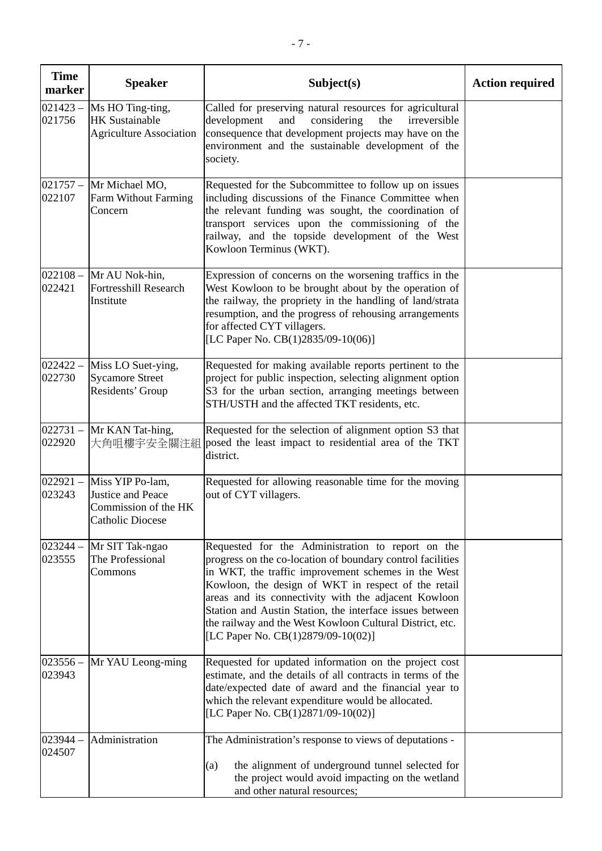| <b>Time</b><br>marker | <b>Speaker</b>                                                                           | Subject(s)                                                                                                                                                                                                                                                                                                                                                                                                                                          | <b>Action required</b> |
|-----------------------|------------------------------------------------------------------------------------------|-----------------------------------------------------------------------------------------------------------------------------------------------------------------------------------------------------------------------------------------------------------------------------------------------------------------------------------------------------------------------------------------------------------------------------------------------------|------------------------|
| $021423 -$<br>021756  | Ms HO Ting-ting,<br><b>HK Sustainable</b><br><b>Agriculture Association</b>              | Called for preserving natural resources for agricultural<br>development<br>and<br>considering<br>the<br>irreversible<br>consequence that development projects may have on the<br>environment and the sustainable development of the<br>society.                                                                                                                                                                                                     |                        |
| $021757 -$<br>022107  | Mr Michael MO,<br>Farm Without Farming<br>Concern                                        | Requested for the Subcommittee to follow up on issues<br>including discussions of the Finance Committee when<br>the relevant funding was sought, the coordination of<br>transport services upon the commissioning of the<br>railway, and the topside development of the West<br>Kowloon Terminus (WKT).                                                                                                                                             |                        |
| 022421                | $022108 - MrAU Nok-hin,$<br><b>Fortresshill Research</b><br>Institute                    | Expression of concerns on the worsening traffics in the<br>West Kowloon to be brought about by the operation of<br>the railway, the propriety in the handling of land/strata<br>resumption, and the progress of rehousing arrangements<br>for affected CYT villagers.<br>[LC Paper No. CB(1)2835/09-10(06)]                                                                                                                                         |                        |
| $022422 -$<br>022730  | Miss LO Suet-ying,<br><b>Sycamore Street</b><br>Residents' Group                         | Requested for making available reports pertinent to the<br>project for public inspection, selecting alignment option<br>S3 for the urban section, arranging meetings between<br>STH/USTH and the affected TKT residents, etc.                                                                                                                                                                                                                       |                        |
| $022731 -$<br>022920  | Mr KAN Tat-hing,<br>大角咀樓宇安全關注組                                                           | Requested for the selection of alignment option S3 that<br>posed the least impact to residential area of the TKT<br>district.                                                                                                                                                                                                                                                                                                                       |                        |
| $022921 -$<br>023243  | Miss YIP Po-lam,<br>Justice and Peace<br>Commission of the HK<br><b>Catholic Diocese</b> | Requested for allowing reasonable time for the moving<br>out of CYT villagers.                                                                                                                                                                                                                                                                                                                                                                      |                        |
| $023244 -$<br>023555  | Mr SIT Tak-ngao<br>The Professional<br>Commons                                           | Requested for the Administration to report on the<br>progress on the co-location of boundary control facilities<br>in WKT, the traffic improvement schemes in the West<br>Kowloon, the design of WKT in respect of the retail<br>areas and its connectivity with the adjacent Kowloon<br>Station and Austin Station, the interface issues between<br>the railway and the West Kowloon Cultural District, etc.<br>[LC Paper No. CB(1)2879/09-10(02)] |                        |
| $023556 -$<br>023943  | Mr YAU Leong-ming                                                                        | Requested for updated information on the project cost<br>estimate, and the details of all contracts in terms of the<br>date/expected date of award and the financial year to<br>which the relevant expenditure would be allocated.<br>[LC Paper No. CB(1)2871/09-10(02)]                                                                                                                                                                            |                        |
| $023944 -$<br>024507  | Administration                                                                           | The Administration's response to views of deputations -<br>the alignment of underground tunnel selected for<br>(a)<br>the project would avoid impacting on the wetland<br>and other natural resources;                                                                                                                                                                                                                                              |                        |